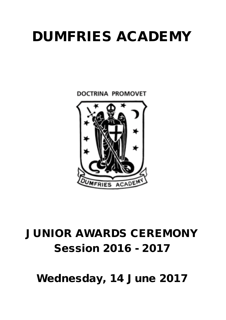# DUMFRIES ACADEMY

**DOCTRINA PROMOVET** 



## JUNIOR AWARDS CEREMONY Session 2016 - 2017

Wednesday, 14 June 2017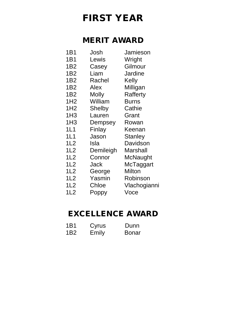## FIRST YEAR

#### MERIT AWARD

- 1B1 Josh Jamieson
- 1B1 Lewis Wright<br>1B2 Casev Gilmou Casey Gilmour
- 1B2 Liam Jardine
- 1B2 Rachel Kelly
- 1B2 Alex Milligan
- 1B2 Molly Rafferty
- 1H2 William Burns
- 1H2 Shelby Cathie
- 1H3 Lauren Grant
- 
- 1H3 Dempsey Rowan<br>1L1 Finlav Keenar Finlay Keenan
- 
- 1L1 Jason Stanley<br>1L2 Isla Davidso Isla Davidson
- 
- 1L2 Demileigh Marshall<br>1L2 Connor McNaugl
	- Connor McNaught
- 1L2 Jack McTaggart
- 1L2 George Milton<br>1L2 Yasmin Robins
- Yasmin Robinson
- 1L2 Chloe Vlachogianni
- 
- 1L2 Poppy Voce

#### EXCELLENCE AWARD

1B1 Cyrus Dunn 1B2 Emily Bonar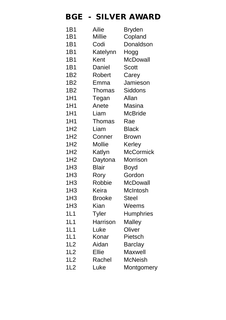#### BGE - SILVER AWARD

| 1B1              | Ailie         | Bryden           |
|------------------|---------------|------------------|
| 1B1              | <b>Millie</b> | Copland          |
| 1B1              | Codi          | Donaldson        |
| 1 <sub>B</sub> 1 | Katelynn      | Hogg             |
| 1B1              | Kent          | McDowall         |
| 1B1              | Daniel        | <b>Scott</b>     |
| 1 <sub>B2</sub>  | Robert        | Carey            |
| 1B <sub>2</sub>  | Emma          | Jamieson         |
| 1 <sub>B2</sub>  | Thomas        | Siddons          |
| 1H1              | Tegan         | Allan            |
| 1H1              | Anete         | Masina           |
| 1H1              | Liam          | <b>McBride</b>   |
| 1H1              | <b>Thomas</b> | Rae              |
| 1H <sub>2</sub>  | Liam          | <b>Black</b>     |
| 1H <sub>2</sub>  | Conner        | <b>Brown</b>     |
| 1H <sub>2</sub>  | <b>Mollie</b> | Kerley           |
| 1H <sub>2</sub>  | Katlyn        | <b>McCormick</b> |
| 1H <sub>2</sub>  | Daytona       | <b>Morrison</b>  |
| 1H <sub>3</sub>  | <b>Blair</b>  | Boyd             |
| 1H <sub>3</sub>  | Rory          | Gordon           |
| 1H <sub>3</sub>  | Robbie        | <b>McDowall</b>  |
| 1H <sub>3</sub>  | Keira         | <b>McIntosh</b>  |
| 1H <sub>3</sub>  | <b>Brooke</b> | <b>Steel</b>     |
| 1H <sub>3</sub>  | Kian          | Weems            |
| 1L1              | Tyler         | <b>Humphries</b> |
| 1L1              | Harrison      | Malley           |
| 1L1              | Luke          | Oliver           |
| 1L1              | Konar         | Pietsch          |
| 1L2              | Aidan         | <b>Barclay</b>   |
| 1L2              | <b>Ellie</b>  | Maxwell          |
| 1L2              | Rachel        | <b>McNeish</b>   |
| 1L2              | Luke          | Montgomery       |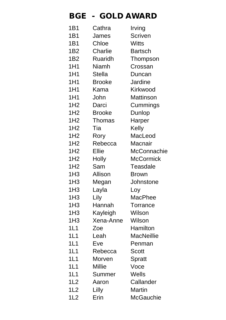## BGE - GOLD AWARD

| 1B1             | Cathra         | Irving             |
|-----------------|----------------|--------------------|
| 1B1             | James          | <b>Scriven</b>     |
| 1B1             | Chloe          | <b>Witts</b>       |
| 1B2             | Charlie        | <b>Bartsch</b>     |
| 1 <sub>B2</sub> | <b>Ruaridh</b> | Thompson           |
| 1H1             | <b>Niamh</b>   | Crossan            |
| 1H1             | <b>Stella</b>  | Duncan             |
| 1H1             | <b>Brooke</b>  | <b>Jardine</b>     |
| 1H1             | Kama           | Kirkwood           |
| 1H1             | John           | <b>Mattinson</b>   |
| 1H <sub>2</sub> | Darci          | Cummings           |
| 1H <sub>2</sub> | <b>Brooke</b>  | Dunlop             |
| 1H <sub>2</sub> | <b>Thomas</b>  | Harper             |
| 1H <sub>2</sub> | Tia            | Kelly              |
| 1H <sub>2</sub> | Rory           | MacLeod            |
| 1H <sub>2</sub> | Rebecca        | Macnair            |
| 1H <sub>2</sub> | <b>Ellie</b>   | <b>McConnachie</b> |
| 1H <sub>2</sub> | <b>Holly</b>   | <b>McCormick</b>   |
| 1H <sub>2</sub> | Sam            | <b>Teasdale</b>    |
| 1H <sub>3</sub> | <b>Allison</b> | <b>Brown</b>       |
| 1H <sub>3</sub> | Megan          | Johnstone          |
| 1H <sub>3</sub> | Layla          | Loy                |
| 1H <sub>3</sub> | Lily           | <b>MacPhee</b>     |
| 1H <sub>3</sub> | Hannah         | <b>Torrance</b>    |
| 1H <sub>3</sub> | Kayleigh       | Wilson             |
| 1H <sub>3</sub> | Xena-Anne      | Wilson             |
| 1L1             | Zoe            | <b>Hamilton</b>    |
| 1L1             | Leah           | <b>MacNeillie</b>  |
| 1L1             | Eve            | Penman             |
| 1L1             | Rebecca        | <b>Scott</b>       |
| 1L1             | Morven         | <b>Spratt</b>      |
| 1L1             | <b>Millie</b>  | Voce               |
| 1L1             | Summer         | Wells              |
| 1L2             | Aaron          | Callander          |
| 1L2             | Lilly          | Martin             |
| 1L2             | Erin           | <b>McGauchie</b>   |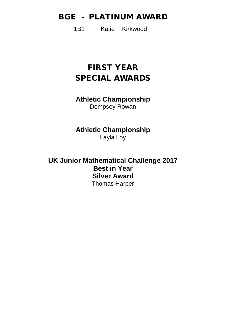#### BGE - PLATINUM AWARD

1B1 Katie Kirkwood

### FIRST YEAR SPECIAL AWARDS

**Athletic Championship**  Dempsey Rowan

**Athletic Championship**  Layla Loy

**UK Junior Mathematical Challenge 2017 Best in Year Silver Award** Thomas Harper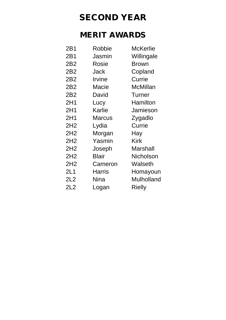## SECOND YEAR

#### MERIT AWARDS

| 2B1             | Robbie        | <b>McKerlie</b>   |
|-----------------|---------------|-------------------|
| 2B1             | Jasmin        | Willingale        |
| 2B <sub>2</sub> | Rosie         | <b>Brown</b>      |
| 2B <sub>2</sub> | Jack          | Copland           |
| 2B <sub>2</sub> | Irvine        | Currie            |
| 2B <sub>2</sub> | Macie         | McMillan          |
| 2B <sub>2</sub> | David         | <b>Turner</b>     |
| 2H1             | Lucy          | Hamilton          |
| 2H1             | <b>Karlie</b> | Jamieson          |
| 2H1             | Marcus        | Zygadlo           |
| 2H <sub>2</sub> | Lydia         | Currie            |
| 2H <sub>2</sub> | Morgan        | Hay               |
| 2H <sub>2</sub> | Yasmin        | <b>Kirk</b>       |
| 2H <sub>2</sub> | Joseph        | Marshall          |
| 2H <sub>2</sub> | <b>Blair</b>  | <b>Nicholson</b>  |
| 2H <sub>2</sub> | Cameron       | Walseth           |
| 2L1             | Harris        | Homayoun          |
| 2L2             | <b>Nina</b>   | <b>Mulholland</b> |
| 2L2             | Logan         | Rielly            |
|                 |               |                   |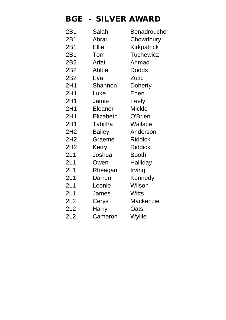#### BGE - SILVER AWARD

| Salah          | <b>Benadrouche</b> |
|----------------|--------------------|
| Abrar          | Chowdhury          |
| <b>Ellie</b>   | <b>Kirkpatrick</b> |
| Tom            | <b>Tuchewicz</b>   |
| Arfat          | Ahmad              |
| Abbie          | <b>Dodds</b>       |
| Eva            | Zutic              |
| Shannon        | Doherty            |
| Luke           | Eden               |
| Jamie          | Feely              |
| Eleanor        | <b>Mickle</b>      |
| Elizabeth      | O'Brien            |
| <b>Tabitha</b> | <b>Wallace</b>     |
| <b>Bailey</b>  | Anderson           |
| Graeme         | <b>Riddick</b>     |
| Kerry          | <b>Riddick</b>     |
| Joshua         | <b>Booth</b>       |
| Owen           | Halliday           |
| Rheagan        | Irving             |
| Darren         | Kennedy            |
| Leonie         | Wilson             |
| James          | <b>Witts</b>       |
| Cerys          | <b>Mackenzie</b>   |
| <b>Harry</b>   | Oats               |
| Cameron        | Wyllie             |
|                |                    |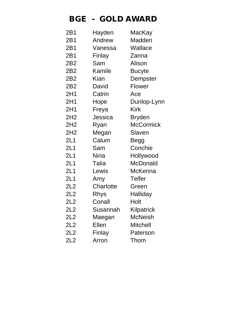### BGE - GOLD AWARD

| 2B1             | Hayden        | MacKay           |
|-----------------|---------------|------------------|
| 2B1             | Andrew        | Madden           |
| 2B1             | Vanessa       | Wallace          |
| 2B1             | Finlay        | Zanna            |
| 2B2             | Sam           | Alison           |
| 2B <sub>2</sub> | <b>Kamile</b> | <b>Bucyte</b>    |
| 2B <sub>2</sub> | <b>Kian</b>   | Dempster         |
| 2B <sub>2</sub> | David         | <b>Flower</b>    |
| 2H1             | Catrin        | Ace              |
| 2H1             | Hope          | Dunlop-Lynn      |
| 2H1             | Freya         | <b>Kirk</b>      |
| 2H2             | Jessica       | <b>Bryden</b>    |
| 2H <sub>2</sub> | Ryan          | <b>McCormick</b> |
| 2H <sub>2</sub> | Megan         | Slaven           |
| 2L1             | Calum         | <b>Begg</b>      |
| 2L1             | Sam           | Conchie          |
| 2L1             | <b>Nina</b>   | Hollywood        |
| 2L1             | Talia         | <b>McDonald</b>  |
| 2L1             | Lewis         | <b>McKenna</b>   |
| 2L1             | Amy           | <b>Telfer</b>    |
| 2L2             | Charlotte     | Green            |
| 2L2             | Rhys          | Halliday         |
| 2L2             | Conall        | Holt             |
| 2L2             | Susannah      | Kilpatrick       |
| 2L2             | Maegan        | McNeish          |
| 2L2             | <b>Ellen</b>  | <b>Mitchell</b>  |
| 2L2             | Finlay        | Paterson         |
| 2L2             | Arron         | Thom             |